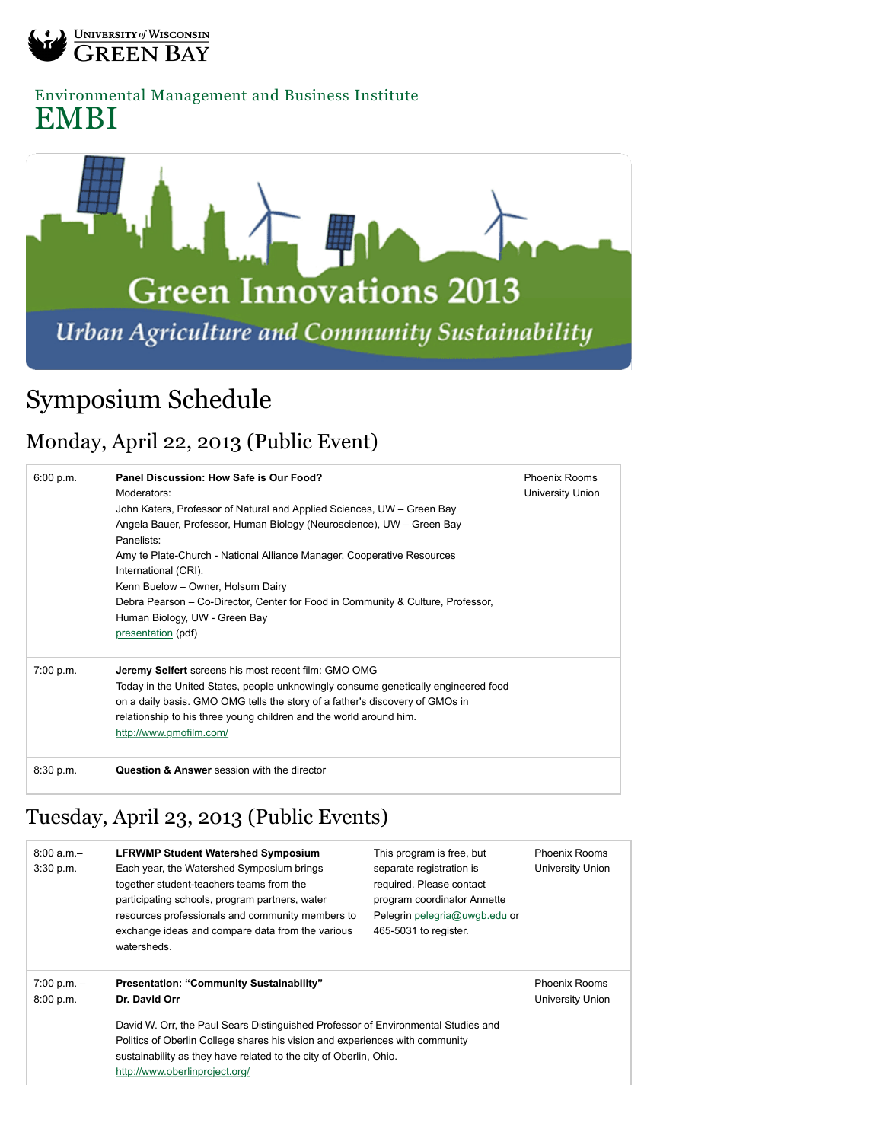

[Environmental Management and Business Institute](http://www.uwgb.edu/embi/) EMBI



## Symposium Schedule

## Monday, April 22, 2013 (Public Event)

| 6:00 p.m. | Panel Discussion: How Safe is Our Food?<br>Moderators:<br>John Katers, Professor of Natural and Applied Sciences, UW – Green Bay<br>Angela Bauer, Professor, Human Biology (Neuroscience), UW – Green Bay<br>Panelists:<br>Amy te Plate-Church - National Alliance Manager, Cooperative Resources<br>International (CRI).<br>Kenn Buelow - Owner, Holsum Dairy<br>Debra Pearson – Co-Director, Center for Food in Community & Culture, Professor,<br>Human Biology, UW - Green Bay<br>presentation (pdf) | <b>Phoenix Rooms</b><br>University Union |
|-----------|----------------------------------------------------------------------------------------------------------------------------------------------------------------------------------------------------------------------------------------------------------------------------------------------------------------------------------------------------------------------------------------------------------------------------------------------------------------------------------------------------------|------------------------------------------|
| 7:00 p.m. | <b>Jeremy Seifert</b> screens his most recent film: GMO OMG<br>Today in the United States, people unknowingly consume genetically engineered food<br>on a daily basis. GMO OMG tells the story of a father's discovery of GMOs in<br>relationship to his three young children and the world around him.<br>http://www.gmofilm.com/                                                                                                                                                                       |                                          |
| 8:30 p.m. | <b>Question &amp; Answer</b> session with the director                                                                                                                                                                                                                                                                                                                                                                                                                                                   |                                          |

## Tuesday, April 23, 2013 (Public Events)

| $8:00 a.m. -$<br>3:30 p.m. | <b>LFRWMP Student Watershed Symposium</b><br>Each year, the Watershed Symposium brings<br>together student-teachers teams from the<br>participating schools, program partners, water<br>resources professionals and community members to<br>exchange ideas and compare data from the various<br>watersheds.                                            | This program is free, but<br>separate registration is<br>required. Please contact<br>program coordinator Annette<br>Pelegrin pelegria@uwgb.edu or<br>465-5031 to register. | <b>Phoenix Rooms</b><br>University Union |  |  |
|----------------------------|--------------------------------------------------------------------------------------------------------------------------------------------------------------------------------------------------------------------------------------------------------------------------------------------------------------------------------------------------------|----------------------------------------------------------------------------------------------------------------------------------------------------------------------------|------------------------------------------|--|--|
| $7:00 p.m. -$<br>8:00 p.m. | <b>Phoenix Rooms</b><br><b>Presentation: "Community Sustainability"</b><br>Dr. David Orr<br>University Union<br>David W. Orr, the Paul Sears Distinguished Professor of Environmental Studies and<br>Politics of Oberlin College shares his vision and experiences with community<br>sustainability as they have related to the city of Oberlin, Ohio. |                                                                                                                                                                            |                                          |  |  |
|                            | http://www.oberlinproject.org/                                                                                                                                                                                                                                                                                                                         |                                                                                                                                                                            |                                          |  |  |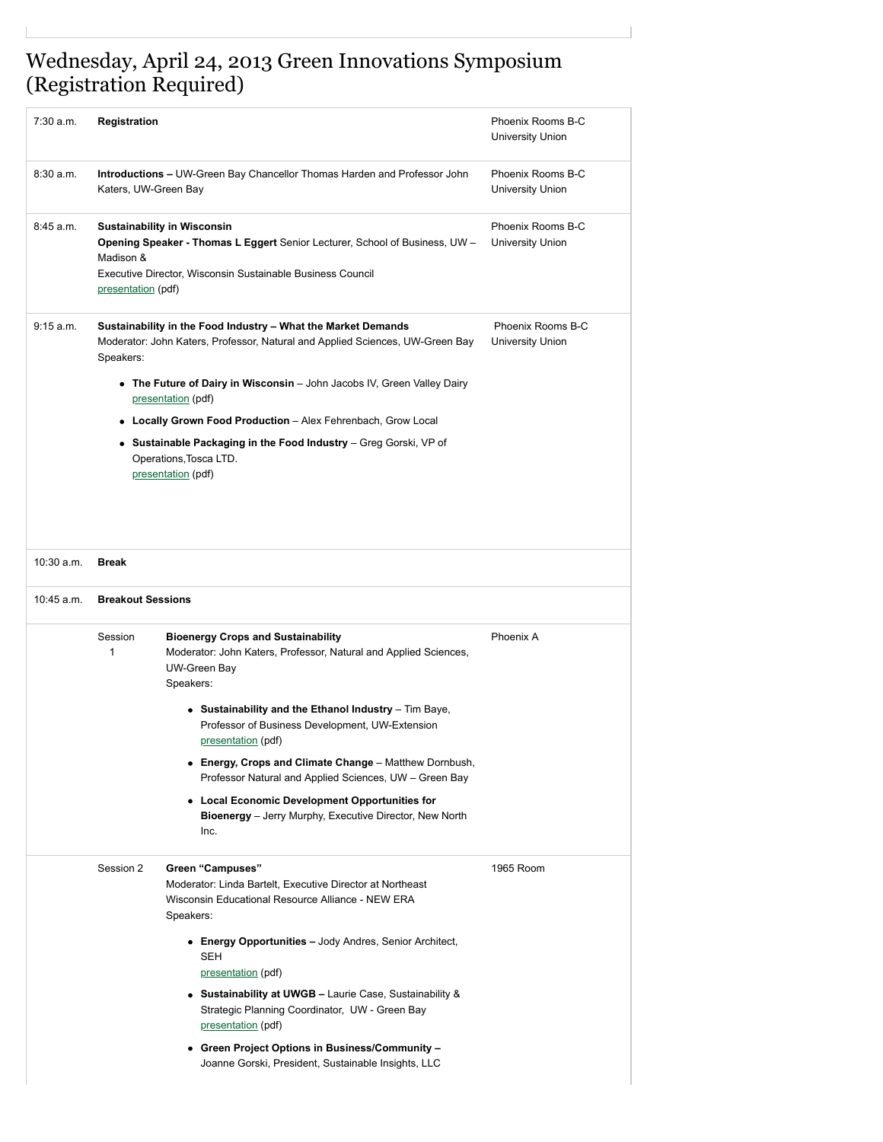## Wednesday, April 24, 2013 Green Innovations Symposium (Registration Required)

| 7:30 a.m.    | <b>Registration</b>                                                                                                                                                                                                                    |                                                                                                                                                                                                                                                                                                                                    | Phoenix Rooms B-C<br>University Union        |  |  |
|--------------|----------------------------------------------------------------------------------------------------------------------------------------------------------------------------------------------------------------------------------------|------------------------------------------------------------------------------------------------------------------------------------------------------------------------------------------------------------------------------------------------------------------------------------------------------------------------------------|----------------------------------------------|--|--|
| 8:30a.m.     | <b>Introductions – UW-Green Bay Chancellor Thomas Harden and Professor John</b><br>Katers, UW-Green Bay                                                                                                                                |                                                                                                                                                                                                                                                                                                                                    | Phoenix Rooms B-C<br>University Union        |  |  |
| 8:45 a.m.    | <b>Sustainability in Wisconsin</b><br><b>Opening Speaker - Thomas L Eggert</b> Senior Lecturer, School of Business, UW -<br>Madison &<br>Executive Director, Wisconsin Sustainable Business Council<br>presentation (pdf)              | Phoenix Rooms B-C<br><b>University Union</b>                                                                                                                                                                                                                                                                                       |                                              |  |  |
| 9:15 a.m.    | Sustainability in the Food Industry - What the Market Demands<br>Moderator: John Katers, Professor, Natural and Applied Sciences, UW-Green Bay<br>Speakers:<br>• The Future of Dairy in Wisconsin – John Jacobs IV, Green Valley Dairy |                                                                                                                                                                                                                                                                                                                                    | Phoenix Rooms B-C<br><b>University Union</b> |  |  |
|              |                                                                                                                                                                                                                                        | presentation (pdf)                                                                                                                                                                                                                                                                                                                 |                                              |  |  |
|              |                                                                                                                                                                                                                                        | • Locally Grown Food Production - Alex Fehrenbach, Grow Local                                                                                                                                                                                                                                                                      |                                              |  |  |
|              |                                                                                                                                                                                                                                        | • Sustainable Packaging in the Food Industry – Greg Gorski, VP of<br>Operations, Tosca LTD.<br>presentation (pdf)                                                                                                                                                                                                                  |                                              |  |  |
| $10:30$ a.m. | <b>Break</b>                                                                                                                                                                                                                           |                                                                                                                                                                                                                                                                                                                                    |                                              |  |  |
| 10:45 a.m.   | <b>Breakout Sessions</b>                                                                                                                                                                                                               |                                                                                                                                                                                                                                                                                                                                    |                                              |  |  |
|              | Session<br>1                                                                                                                                                                                                                           | <b>Bioenergy Crops and Sustainability</b><br>Moderator: John Katers, Professor, Natural and Applied Sciences,<br><b>UW-Green Bay</b><br>Speakers:                                                                                                                                                                                  | Phoenix A                                    |  |  |
|              |                                                                                                                                                                                                                                        | • Sustainability and the Ethanol Industry - Tim Baye,<br>Professor of Business Development, UW-Extension<br>presentation (pdf)                                                                                                                                                                                                     |                                              |  |  |
|              |                                                                                                                                                                                                                                        | • Energy, Crops and Climate Change - Matthew Dornbush,<br>Professor Natural and Applied Sciences, UW - Green Bay                                                                                                                                                                                                                   |                                              |  |  |
|              |                                                                                                                                                                                                                                        | • Local Economic Development Opportunities for<br><b>Bioenergy</b> – Jerry Murphy, Executive Director, New North<br>Inc.                                                                                                                                                                                                           |                                              |  |  |
|              | Session 2                                                                                                                                                                                                                              | Green "Campuses"<br>Moderator: Linda Bartelt, Executive Director at Northeast<br>Wisconsin Educational Resource Alliance - NEW ERA<br>Speakers:                                                                                                                                                                                    | 1965 Room                                    |  |  |
|              |                                                                                                                                                                                                                                        | • Energy Opportunities – Jody Andres, Senior Architect,<br>SEH<br>presentation (pdf)<br>• Sustainability at UWGB - Laurie Case, Sustainability &<br>Strategic Planning Coordinator, UW - Green Bay<br>presentation (pdf)<br>• Green Project Options in Business/Community -<br>Joanne Gorski, President, Sustainable Insights, LLC |                                              |  |  |